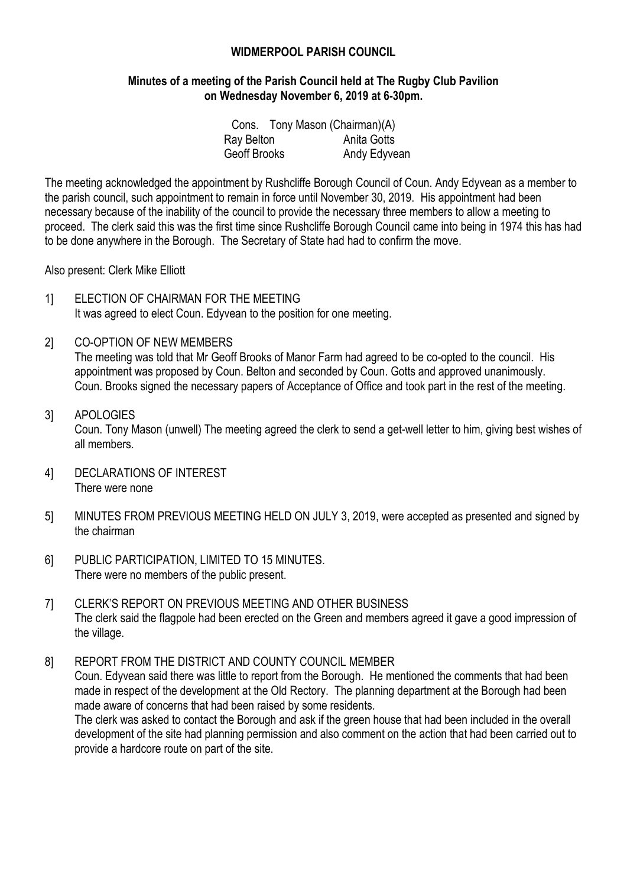## **WIDMERPOOL PARISH COUNCIL**

#### **Minutes of a meeting of the Parish Council held at The Rugby Club Pavilion on Wednesday November 6, 2019 at 6-30pm.**

|              |  | Cons. Tony Mason (Chairman)(A) |
|--------------|--|--------------------------------|
| Ray Belton   |  | Anita Gotts                    |
| Geoff Brooks |  | Andy Edyvean                   |

The meeting acknowledged the appointment by Rushcliffe Borough Council of Coun. Andy Edyvean as a member to the parish council, such appointment to remain in force until November 30, 2019. His appointment had been necessary because of the inability of the council to provide the necessary three members to allow a meeting to proceed. The clerk said this was the first time since Rushcliffe Borough Council came into being in 1974 this has had to be done anywhere in the Borough. The Secretary of State had had to confirm the move.

Also present: Clerk Mike Elliott

- 1] ELECTION OF CHAIRMAN FOR THE MEETING It was agreed to elect Coun. Edyvean to the position for one meeting.
- 2] CO-OPTION OF NEW MEMBERS

The meeting was told that Mr Geoff Brooks of Manor Farm had agreed to be co-opted to the council. His appointment was proposed by Coun. Belton and seconded by Coun. Gotts and approved unanimously. Coun. Brooks signed the necessary papers of Acceptance of Office and took part in the rest of the meeting.

#### 3] APOLOGIES Coun. Tony Mason (unwell) The meeting agreed the clerk to send a get-well letter to him, giving best wishes of all members.

- 4] DECLARATIONS OF INTEREST There were none
- 5] MINUTES FROM PREVIOUS MEETING HELD ON JULY 3, 2019, were accepted as presented and signed by the chairman
- 6] PUBLIC PARTICIPATION, LIMITED TO 15 MINUTES. There were no members of the public present.
- 7] CLERK'S REPORT ON PREVIOUS MEETING AND OTHER BUSINESS The clerk said the flagpole had been erected on the Green and members agreed it gave a good impression of the village.

8] REPORT FROM THE DISTRICT AND COUNTY COUNCIL MEMBER Coun. Edyvean said there was little to report from the Borough. He mentioned the comments that had been made in respect of the development at the Old Rectory. The planning department at the Borough had been made aware of concerns that had been raised by some residents.

The clerk was asked to contact the Borough and ask if the green house that had been included in the overall development of the site had planning permission and also comment on the action that had been carried out to provide a hardcore route on part of the site.